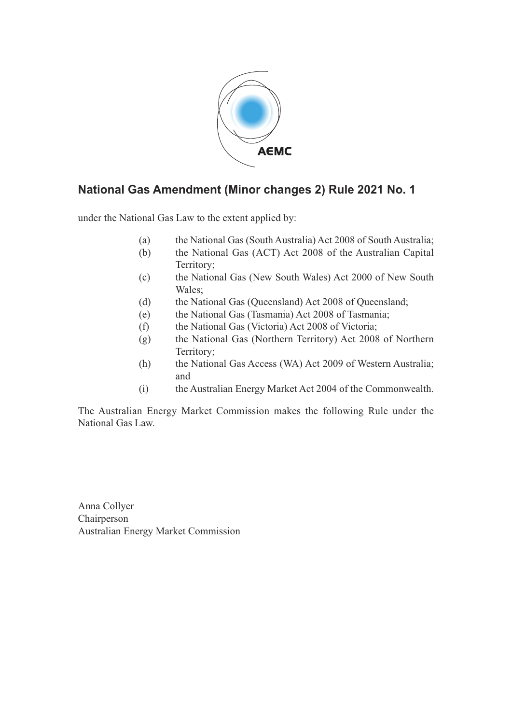

## **National Gas Amendment (Minor changes 2) Rule 2021 No. 1**

under the National Gas Law to the extent applied by:

- (a) the National Gas (South Australia) Act 2008 of South Australia;
- (b) the National Gas (ACT) Act 2008 of the Australian Capital Territory;
- (c) the National Gas (New South Wales) Act 2000 of New South Wales;
- (d) the National Gas (Queensland) Act 2008 of Queensland;
- (e) the National Gas (Tasmania) Act 2008 of Tasmania;
- (f) the National Gas (Victoria) Act 2008 of Victoria;
- (g) the National Gas (Northern Territory) Act 2008 of Northern Territory;
- (h) the National Gas Access (WA) Act 2009 of Western Australia; and
- (i) the Australian Energy Market Act 2004 of the Commonwealth.

The Australian Energy Market Commission makes the following Rule under the National Gas Law.

Anna Collyer Chairperson Australian Energy Market Commission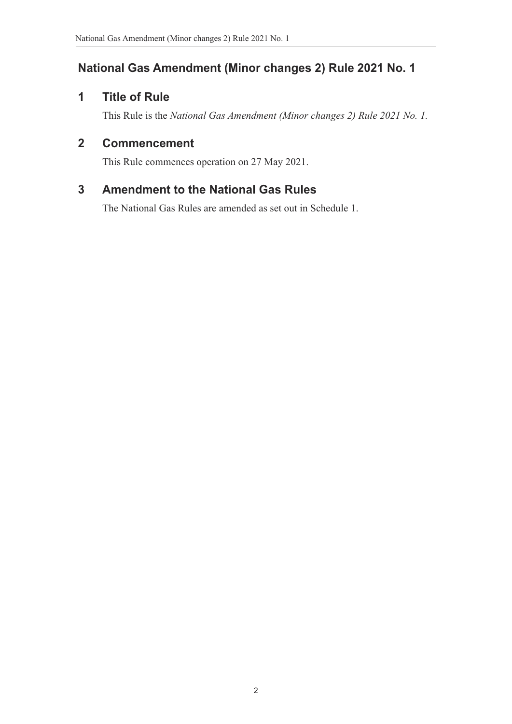# **National Gas Amendment (Minor changes 2) Rule 2021 No. 1**

## **1 Title of Rule**

This Rule is the *National Gas Amendment (Minor changes 2) Rule 2021 No. 1.*

## **2 Commencement**

This Rule commences operation on 27 May 2021.

## **3 Amendment to the National Gas Rules**

The National Gas Rules are amended as set out in Schedule 1.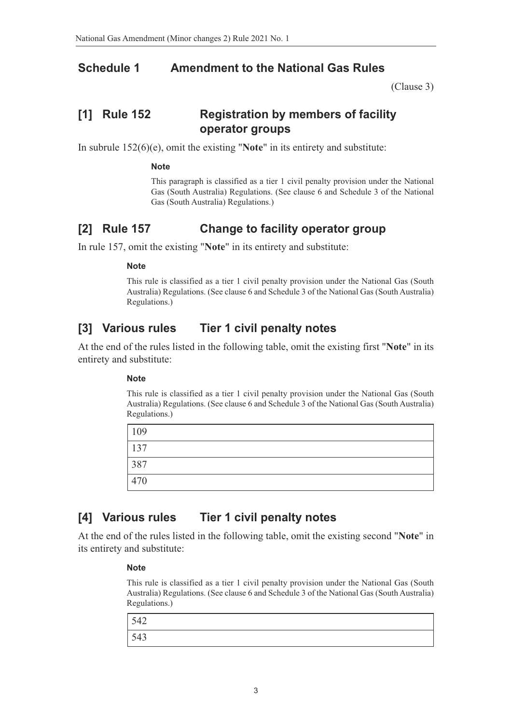### **Schedule 1 Amendment to the National Gas Rules**

(Clause 3)

## **[1] Rule 152 Registration by members of facility operator groups**

In subrule 152(6)(e), omit the existing "**Note**" in its entirety and substitute:

#### **Note**

This paragraph is classified as a tier 1 civil penalty provision under the National Gas (South Australia) Regulations. (See clause 6 and Schedule 3 of the National Gas (South Australia) Regulations.)

### **[2] Rule 157 Change to facility operator group**

In rule 157, omit the existing "**Note**" in its entirety and substitute:

#### **Note**

This rule is classified as a tier 1 civil penalty provision under the National Gas (South Australia) Regulations. (See clause 6 and Schedule 3 of the National Gas (South Australia) Regulations.)

### **[3] Various rules Tier 1 civil penalty notes**

At the end of the rules listed in the following table, omit the existing first "**Note**" in its entirety and substitute:

#### **Note**

This rule is classified as a tier 1 civil penalty provision under the National Gas (South Australia) Regulations. (See clause 6 and Schedule 3 of the National Gas (South Australia) Regulations.)

| $\vert$ 109   |  |  |
|---------------|--|--|
| $\sqrt{137}$  |  |  |
| $\boxed{387}$ |  |  |
| $\sqrt{470}$  |  |  |

### **[4] Various rules Tier 1 civil penalty notes**

At the end of the rules listed in the following table, omit the existing second "**Note**" in its entirety and substitute:

#### **Note**

This rule is classified as a tier 1 civil penalty provision under the National Gas (South Australia) Regulations. (See clause 6 and Schedule 3 of the National Gas (South Australia) Regulations.)

| 542 |  |
|-----|--|
| 543 |  |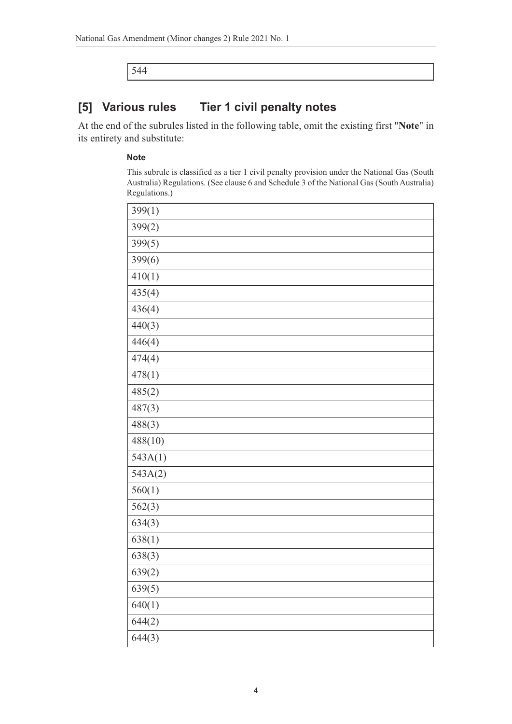544

### **[5] Various rules Tier 1 civil penalty notes**

At the end of the subrules listed in the following table, omit the existing first "**Note**" in its entirety and substitute:

#### **Note**

This subrule is classified as a tier 1 civil penalty provision under the National Gas (South Australia) Regulations. (See clause 6 and Schedule 3 of the National Gas (South Australia) Regulations.)

| 399(1)  |
|---------|
| 399(2)  |
| 399(5)  |
| 399(6)  |
| 410(1)  |
| 435(4)  |
| 436(4)  |
| 440(3)  |
| 446(4)  |
| 474(4)  |
| 478(1)  |
| 485(2)  |
| 487(3)  |
| 488(3)  |
| 488(10) |
| 543A(1) |
| 543A(2) |
| 560(1)  |
| 562(3)  |
| 634(3)  |
| 638(1)  |
| 638(3)  |
| 639(2)  |
| 639(5)  |
| 640(1)  |
| 644(2)  |
| 644(3)  |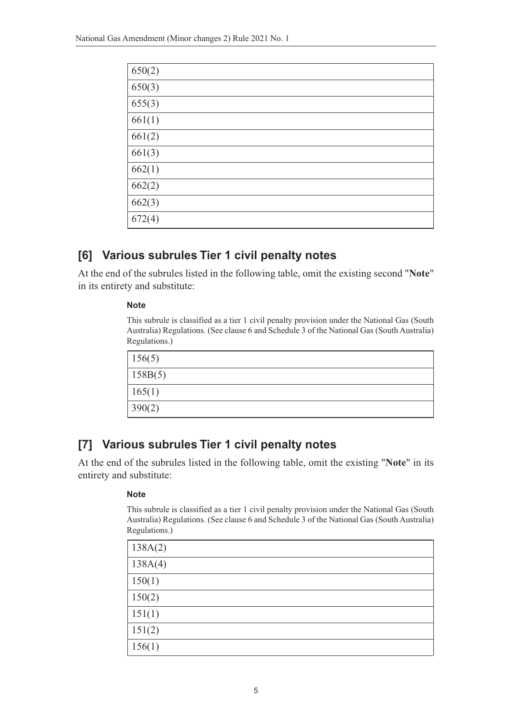| 650(2) |
|--------|
| 650(3) |
| 655(3) |
| 661(1) |
| 661(2) |
| 661(3) |
| 662(1) |
| 662(2) |
| 662(3) |
| 672(4) |

## **[6] Various subrules Tier 1 civil penalty notes**

At the end of the subrules listed in the following table, omit the existing second "**Note**" in its entirety and substitute:

#### **Note**

This subrule is classified as a tier 1 civil penalty provision under the National Gas (South Australia) Regulations. (See clause 6 and Schedule 3 of the National Gas (South Australia) Regulations.)

| 156(5)  |  |
|---------|--|
| 158B(5) |  |
| 165(1)  |  |
| 390(2)  |  |

## **[7] Various subrules Tier 1 civil penalty notes**

At the end of the subrules listed in the following table, omit the existing "**Note**" in its entirety and substitute:

### **Note**

This subrule is classified as a tier 1 civil penalty provision under the National Gas (South Australia) Regulations. (See clause 6 and Schedule 3 of the National Gas (South Australia) Regulations.)

| 138A(2) |
|---------|
| 138A(4) |
| 150(1)  |
| 150(2)  |
| 151(1)  |
| 151(2)  |
| 156(1)  |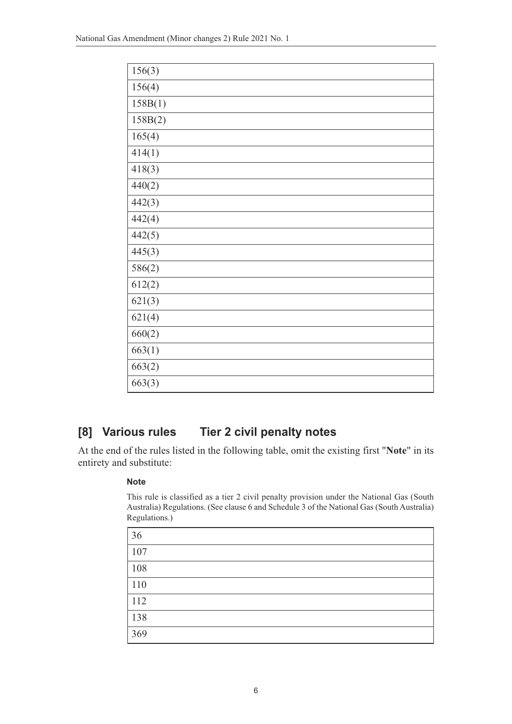| 156(3)  |
|---------|
| 156(4)  |
| 158B(1) |
| 158B(2) |
| 165(4)  |
| 414(1)  |
| 418(3)  |
| 440(2)  |
| 442(3)  |
| 442(4)  |
| 442(5)  |
| 445(3)  |
| 586(2)  |
| 612(2)  |
| 621(3)  |
| 621(4)  |
| 660(2)  |
| 663(1)  |
| 663(2)  |
| 663(3)  |

# **[8] Various rules Tier 2 civil penalty notes**

At the end of the rules listed in the following table, omit the existing first "**Note**" in its entirety and substitute:

### **Note**

This rule is classified as a tier 2 civil penalty provision under the National Gas (South Australia) Regulations. (See clause 6 and Schedule 3 of the National Gas (South Australia) Regulations.)

| 36  |  |
|-----|--|
| 107 |  |
| 108 |  |
| 110 |  |
| 112 |  |
| 138 |  |
| 369 |  |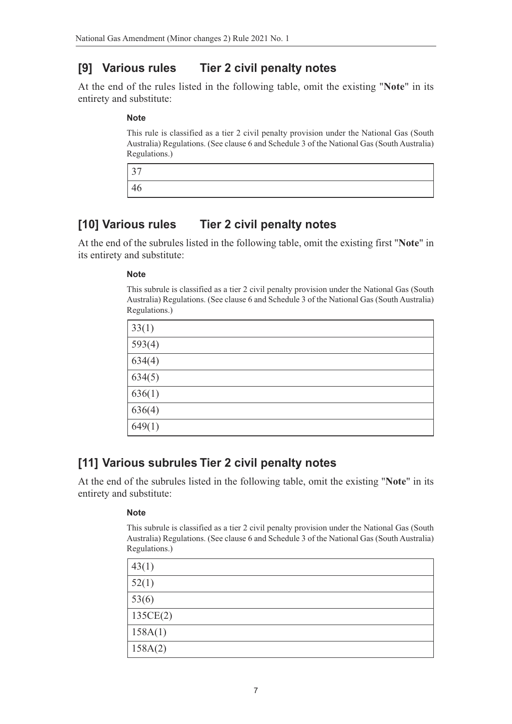# **[9] Various rules Tier 2 civil penalty notes**

At the end of the rules listed in the following table, omit the existing "**Note**" in its entirety and substitute:

### **Note**

This rule is classified as a tier 2 civil penalty provision under the National Gas (South Australia) Regulations. (See clause 6 and Schedule 3 of the National Gas (South Australia) Regulations.)

| 37 |  |  |
|----|--|--|
| 46 |  |  |

## **[10] Various rules Tier 2 civil penalty notes**

At the end of the subrules listed in the following table, omit the existing first "**Note**" in its entirety and substitute:

#### **Note**

This subrule is classified as a tier 2 civil penalty provision under the National Gas (South Australia) Regulations. (See clause 6 and Schedule 3 of the National Gas (South Australia) Regulations.)

| 33(1)  |  |
|--------|--|
| 593(4) |  |
| 634(4) |  |
| 634(5) |  |
| 636(1) |  |
| 636(4) |  |
| 649(1) |  |

## **[11] Various subrules Tier 2 civil penalty notes**

At the end of the subrules listed in the following table, omit the existing "**Note**" in its entirety and substitute:

### **Note**

This subrule is classified as a tier 2 civil penalty provision under the National Gas (South Australia) Regulations. (See clause 6 and Schedule 3 of the National Gas (South Australia) Regulations.)

| 43(1)    |  |
|----------|--|
| 52(1)    |  |
| 53(6)    |  |
| 135CE(2) |  |
| 158A(1)  |  |
| 158A(2)  |  |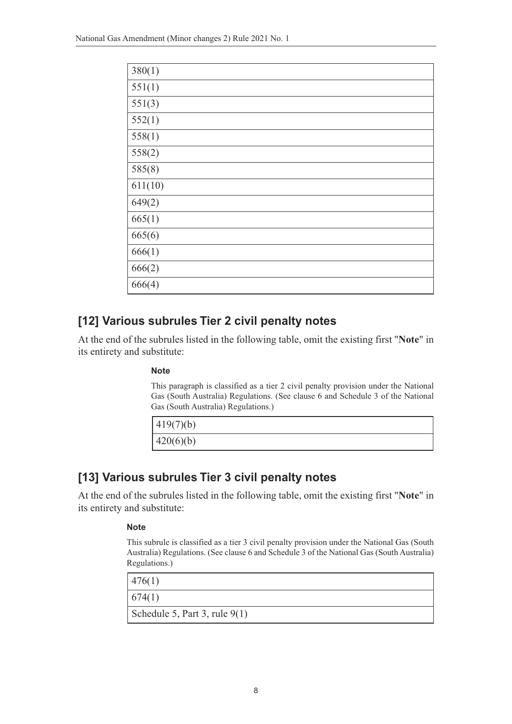| 380(1)  |
|---------|
| 551(1)  |
| 551(3)  |
| 552(1)  |
| 558(1)  |
| 558(2)  |
| 585(8)  |
| 611(10) |
| 649(2)  |
| 665(1)  |
| 665(6)  |
| 666(1)  |
| 666(2)  |
| 666(4)  |

## **[12] Various subrules Tier 2 civil penalty notes**

At the end of the subrules listed in the following table, omit the existing first "**Note**" in its entirety and substitute:

### **Note**

This paragraph is classified as a tier 2 civil penalty provision under the National Gas (South Australia) Regulations. (See clause 6 and Schedule 3 of the National Gas (South Australia) Regulations.)

| 419(7)(b) |  |  |
|-----------|--|--|
| 420(6)(b) |  |  |

## **[13] Various subrules Tier 3 civil penalty notes**

At the end of the subrules listed in the following table, omit the existing first "**Note**" in its entirety and substitute:

### **Note**

This subrule is classified as a tier 3 civil penalty provision under the National Gas (South Australia) Regulations. (See clause 6 and Schedule 3 of the National Gas (South Australia) Regulations.)

| 476(1)                          |
|---------------------------------|
| 674(1)                          |
| Schedule 5, Part 3, rule $9(1)$ |